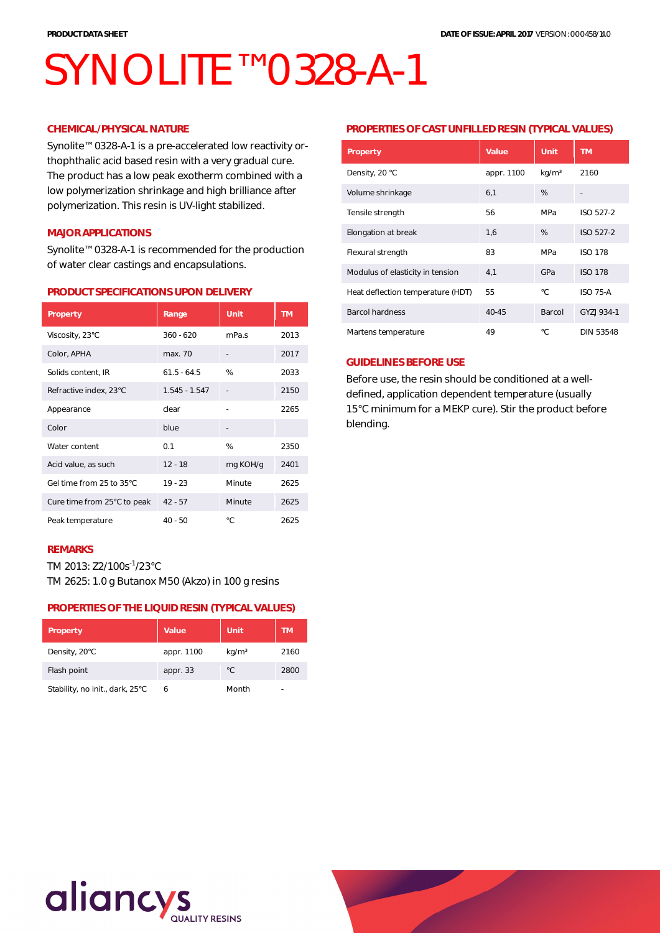# SYNOLITE<sup>™</sup> 0328-A-1

## **CHEMICAL/PHYSICAL NATURE**

Synolite™ 0328-A-1 is a pre-accelerated low reactivity orthophthalic acid based resin with a very gradual cure. The product has a low peak exotherm combined with a low polymerization shrinkage and high brilliance after polymerization. This resin is UV-light stabilized.

## **MAJOR APPLICATIONS**

Synolite™ 0328-A-1 is recommended for the production of water clear castings and encapsulations.

#### **PRODUCT SPECIFICATIONS UPON DELIVERY**

| Property                    | Range           | Unit     | <b>TM</b> |
|-----------------------------|-----------------|----------|-----------|
| Viscosity, 23°C             | $360 - 620$     | mPa.s    | 2013      |
| Color, APHA                 | max. 70         |          | 2017      |
| Solids content, IR          | $61.5 - 64.5$   | %        | 2033      |
| Refractive index, 23°C      | $1.545 - 1.547$ |          | 2150      |
| Appearance                  | clear           |          | 2265      |
| Color                       | blue            |          |           |
| Water content               | 0.1             | %        | 2350      |
| Acid value, as such         | $12 - 18$       | mg KOH/g | 2401      |
| Gel time from 25 to 35°C    | $19 - 23$       | Minute   | 2625      |
| Cure time from 25°C to peak | $42 - 57$       | Minute   | 2625      |
| Peak temperature            | $40 - 50$       | °C.      | 2625      |

## **REMARKS**

TM 2013: Z2/100s-1/23°C TM 2625: 1.0 g Butanox M50 (Akzo) in 100 g resins

## **PROPERTIES OF THE LIQUID RESIN (TYPICAL VALUES)**

| Property                        | Value.     | Unit              | <b>TM</b> |
|---------------------------------|------------|-------------------|-----------|
| Density, 20°C                   | appr. 1100 | kg/m <sup>3</sup> | 2160      |
| Flash point                     | appr. 33   | °C                | 2800      |
| Stability, no init., dark, 25°C | 6          | Month             |           |

#### **PROPERTIES OF CAST UNFILLED RESIN (TYPICAL VALUES)**

| Property                          | Value      | Unit              | <b>TM</b>        |
|-----------------------------------|------------|-------------------|------------------|
| Density, 20 °C                    | appr. 1100 | kg/m <sup>3</sup> | 2160             |
| Volume shrinkage                  | 6,1        | %                 |                  |
| Tensile strength                  | 56         | MPa               | ISO 527-2        |
| Elongation at break               | 1,6        | %                 | ISO 527-2        |
| Flexural strength                 | 83         | MPa               | <b>ISO 178</b>   |
| Modulus of elasticity in tension  | 4,1        | GPa               | <b>ISO 178</b>   |
| Heat deflection temperature (HDT) | 55         | °C                | <b>ISO 75-A</b>  |
| <b>Barcol hardness</b>            | 40-45      | Barcol            | GYZI 934-1       |
| Martens temperature               | 49         | °C                | <b>DIN 53548</b> |

## **GUIDELINES BEFORE USE**

Before use, the resin should be conditioned at a welldefined, application dependent temperature (usually 15°C minimum for a MEKP cure). Stir the product before blending.